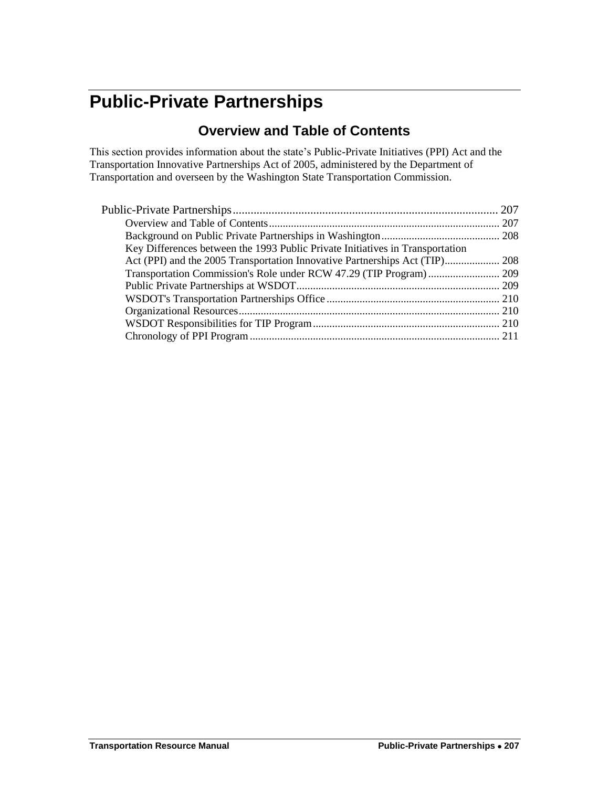# <span id="page-0-1"></span><span id="page-0-0"></span>**Public-Private Partnerships**

### **Overview and Table of Contents**

This section provides information about the state's Public-Private Initiatives (PPI) Act and the Transportation Innovative Partnerships Act of 2005, administered by the Department of Transportation and overseen by the Washington State Transportation Commission.

| Key Differences between the 1993 Public Private Initiatives in Transportation |  |
|-------------------------------------------------------------------------------|--|
|                                                                               |  |
|                                                                               |  |
|                                                                               |  |
|                                                                               |  |
|                                                                               |  |
|                                                                               |  |
|                                                                               |  |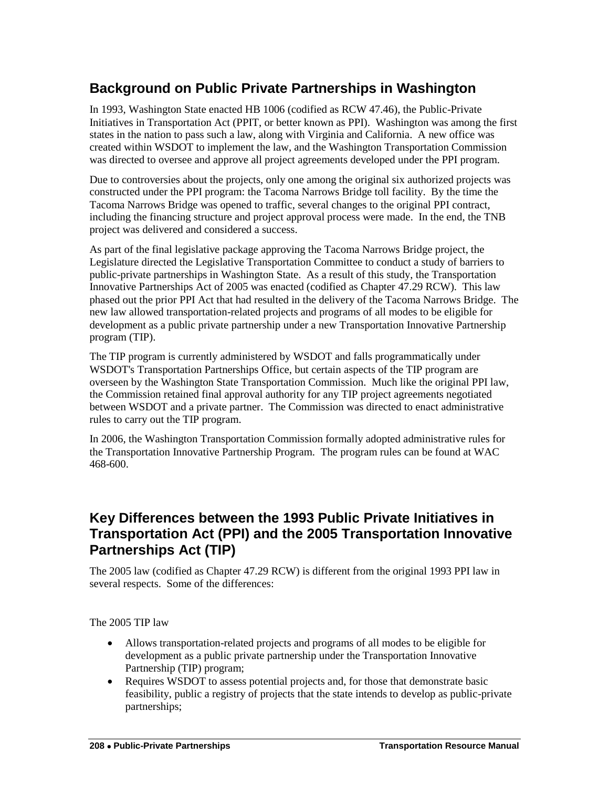## <span id="page-1-0"></span>**Background on Public Private Partnerships in Washington**

In 1993, Washington State enacted HB 1006 (codified as RCW 47.46), the Public-Private Initiatives in Transportation Act (PPIT, or better known as PPI). Washington was among the first states in the nation to pass such a law, along with Virginia and California. A new office was created within WSDOT to implement the law, and the Washington Transportation Commission was directed to oversee and approve all project agreements developed under the PPI program.

Due to controversies about the projects, only one among the original six authorized projects was constructed under the PPI program: the Tacoma Narrows Bridge toll facility. By the time the Tacoma Narrows Bridge was opened to traffic, several changes to the original PPI contract, including the financing structure and project approval process were made. In the end, the TNB project was delivered and considered a success.

As part of the final legislative package approving the Tacoma Narrows Bridge project, the Legislature directed the Legislative Transportation Committee to conduct a study of barriers to public-private partnerships in Washington State. As a result of this study, the Transportation Innovative Partnerships Act of 2005 was enacted (codified as Chapter 47.29 RCW). This law phased out the prior PPI Act that had resulted in the delivery of the Tacoma Narrows Bridge. The new law allowed transportation-related projects and programs of all modes to be eligible for development as a public private partnership under a new Transportation Innovative Partnership program (TIP).

The TIP program is currently administered by WSDOT and falls programmatically under WSDOT's Transportation Partnerships Office, but certain aspects of the TIP program are overseen by the Washington State Transportation Commission. Much like the original PPI law, the Commission retained final approval authority for any TIP project agreements negotiated between WSDOT and a private partner. The Commission was directed to enact administrative rules to carry out the TIP program.

In 2006, the Washington Transportation Commission formally adopted administrative rules for the Transportation Innovative Partnership Program. The program rules can be found at WAC 468-600.

#### <span id="page-1-1"></span>**Key Differences between the 1993 Public Private Initiatives in Transportation Act (PPI) and the 2005 Transportation Innovative Partnerships Act (TIP)**

The 2005 law (codified as Chapter 47.29 RCW) is different from the original 1993 PPI law in several respects. Some of the differences:

The 2005 TIP law

- Allows transportation-related projects and programs of all modes to be eligible for development as a public private partnership under the Transportation Innovative Partnership (TIP) program;
- Requires WSDOT to assess potential projects and, for those that demonstrate basic feasibility, public a registry of projects that the state intends to develop as public-private partnerships;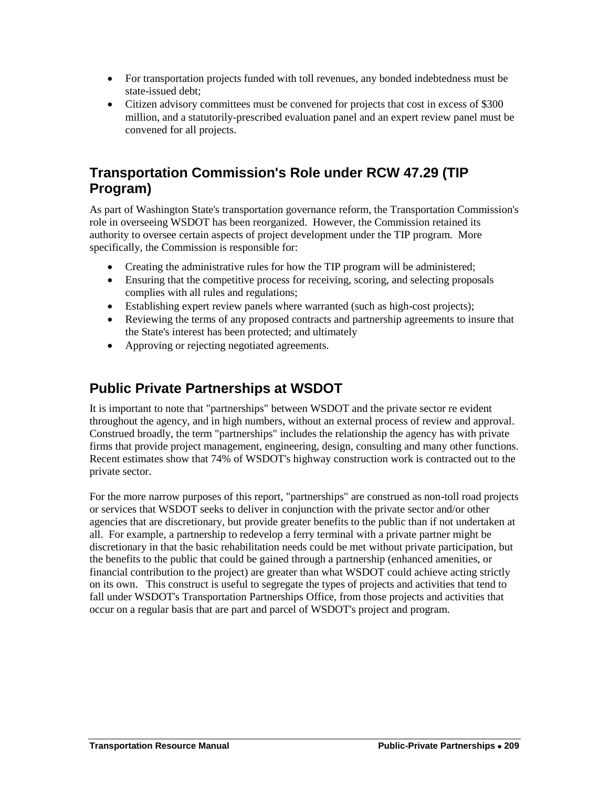- For transportation projects funded with toll revenues, any bonded indebtedness must be state-issued debt;
- Citizen advisory committees must be convened for projects that cost in excess of \$300 million, and a statutorily-prescribed evaluation panel and an expert review panel must be convened for all projects.

### <span id="page-2-0"></span>**Transportation Commission's Role under RCW 47.29 (TIP Program)**

As part of Washington State's transportation governance reform, the Transportation Commission's role in overseeing WSDOT has been reorganized. However, the Commission retained its authority to oversee certain aspects of project development under the TIP program. More specifically, the Commission is responsible for:

- Creating the administrative rules for how the TIP program will be administered;
- Ensuring that the competitive process for receiving, scoring, and selecting proposals complies with all rules and regulations;
- Establishing expert review panels where warranted (such as high-cost projects);
- Reviewing the terms of any proposed contracts and partnership agreements to insure that the State's interest has been protected; and ultimately
- Approving or rejecting negotiated agreements.

#### <span id="page-2-1"></span>**Public Private Partnerships at WSDOT**

It is important to note that "partnerships" between WSDOT and the private sector re evident throughout the agency, and in high numbers, without an external process of review and approval. Construed broadly, the term "partnerships" includes the relationship the agency has with private firms that provide project management, engineering, design, consulting and many other functions. Recent estimates show that 74% of WSDOT's highway construction work is contracted out to the private sector.

For the more narrow purposes of this report, "partnerships" are construed as non-toll road projects or services that WSDOT seeks to deliver in conjunction with the private sector and/or other agencies that are discretionary, but provide greater benefits to the public than if not undertaken at all. For example, a partnership to redevelop a ferry terminal with a private partner might be discretionary in that the basic rehabilitation needs could be met without private participation, but the benefits to the public that could be gained through a partnership (enhanced amenities, or financial contribution to the project) are greater than what WSDOT could achieve acting strictly on its own. This construct is useful to segregate the types of projects and activities that tend to fall under WSDOT's Transportation Partnerships Office, from those projects and activities that occur on a regular basis that are part and parcel of WSDOT's project and program.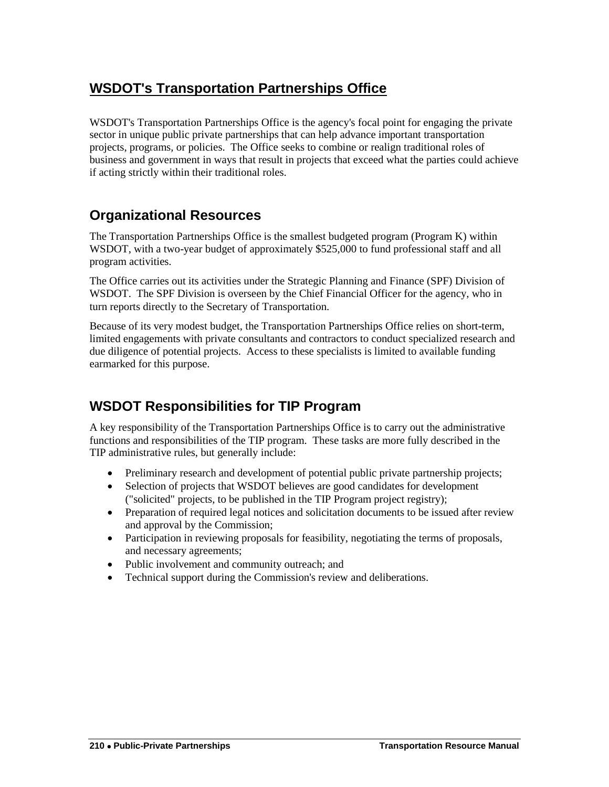# <span id="page-3-0"></span>**WSDOT's Transportation Partnerships Office**

WSDOT's Transportation Partnerships Office is the agency's focal point for engaging the private sector in unique public private partnerships that can help advance important transportation projects, programs, or policies. The Office seeks to combine or realign traditional roles of business and government in ways that result in projects that exceed what the parties could achieve if acting strictly within their traditional roles.

#### <span id="page-3-1"></span>**Organizational Resources**

The Transportation Partnerships Office is the smallest budgeted program (Program K) within WSDOT, with a two-year budget of approximately \$525,000 to fund professional staff and all program activities.

The Office carries out its activities under the Strategic Planning and Finance (SPF) Division of WSDOT. The SPF Division is overseen by the Chief Financial Officer for the agency, who in turn reports directly to the Secretary of Transportation.

Because of its very modest budget, the Transportation Partnerships Office relies on short-term, limited engagements with private consultants and contractors to conduct specialized research and due diligence of potential projects. Access to these specialists is limited to available funding earmarked for this purpose.

#### <span id="page-3-2"></span>**WSDOT Responsibilities for TIP Program**

A key responsibility of the Transportation Partnerships Office is to carry out the administrative functions and responsibilities of the TIP program. These tasks are more fully described in the TIP administrative rules, but generally include:

- Preliminary research and development of potential public private partnership projects;
- Selection of projects that WSDOT believes are good candidates for development ("solicited" projects, to be published in the TIP Program project registry);
- Preparation of required legal notices and solicitation documents to be issued after review and approval by the Commission;
- Participation in reviewing proposals for feasibility, negotiating the terms of proposals, and necessary agreements;
- Public involvement and community outreach; and
- Technical support during the Commission's review and deliberations.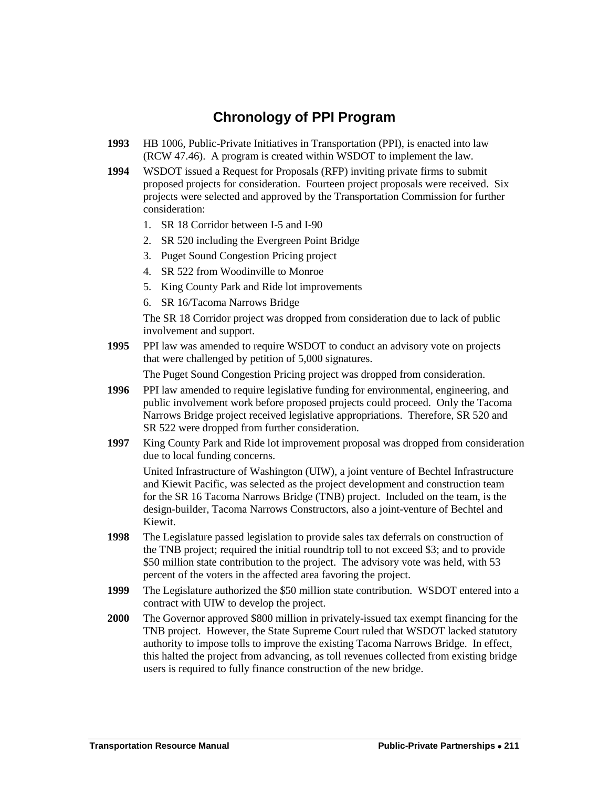#### **Chronology of PPI Program**

- <span id="page-4-0"></span>**1993** HB 1006, Public-Private Initiatives in Transportation (PPI), is enacted into law (RCW 47.46). A program is created within WSDOT to implement the law.
- **1994** WSDOT issued a Request for Proposals (RFP) inviting private firms to submit proposed projects for consideration. Fourteen project proposals were received. Six projects were selected and approved by the Transportation Commission for further consideration:
	- 1. SR 18 Corridor between I-5 and I-90
	- 2. SR 520 including the Evergreen Point Bridge
	- 3. Puget Sound Congestion Pricing project
	- 4. SR 522 from Woodinville to Monroe
	- 5. King County Park and Ride lot improvements
	- 6. SR 16/Tacoma Narrows Bridge

The SR 18 Corridor project was dropped from consideration due to lack of public involvement and support.

**1995** PPI law was amended to require WSDOT to conduct an advisory vote on projects that were challenged by petition of 5,000 signatures.

The Puget Sound Congestion Pricing project was dropped from consideration.

- **1996** PPI law amended to require legislative funding for environmental, engineering, and public involvement work before proposed projects could proceed. Only the Tacoma Narrows Bridge project received legislative appropriations. Therefore, SR 520 and SR 522 were dropped from further consideration.
- **1997** King County Park and Ride lot improvement proposal was dropped from consideration due to local funding concerns.

United Infrastructure of Washington (UIW), a joint venture of Bechtel Infrastructure and Kiewit Pacific, was selected as the project development and construction team for the SR 16 Tacoma Narrows Bridge (TNB) project. Included on the team, is the design-builder, Tacoma Narrows Constructors, also a joint-venture of Bechtel and Kiewit.

- **1998** The Legislature passed legislation to provide sales tax deferrals on construction of the TNB project; required the initial roundtrip toll to not exceed \$3; and to provide \$50 million state contribution to the project. The advisory vote was held, with 53 percent of the voters in the affected area favoring the project.
- **1999** The Legislature authorized the \$50 million state contribution. WSDOT entered into a contract with UIW to develop the project.
- **2000** The Governor approved \$800 million in privately-issued tax exempt financing for the TNB project. However, the State Supreme Court ruled that WSDOT lacked statutory authority to impose tolls to improve the existing Tacoma Narrows Bridge. In effect, this halted the project from advancing, as toll revenues collected from existing bridge users is required to fully finance construction of the new bridge.